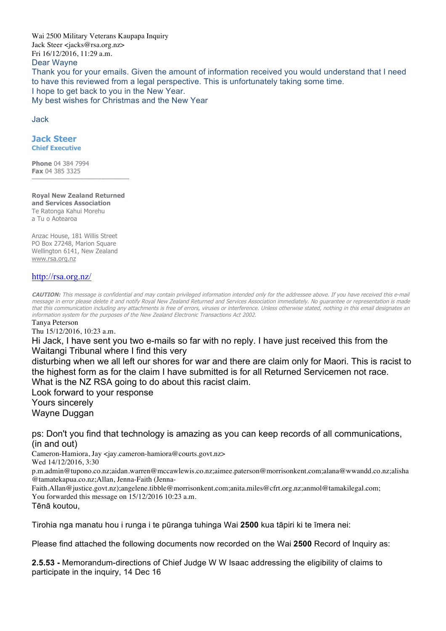Wai 2500 Military Veterans Kaupapa Inquiry Jack Steer <jacks@rsa.org.nz> Fri 16/12/2016, 11:29 a.m. Dear Wayne Thank you for your emails. Given the amount of information received you would understand that I need to have this reviewed from a legal perspective. This is unfortunately taking some time. I hope to get back to you in the New Year. My best wishes for Christmas and the New Year

Jack

## **Jack Steer Chief Executive**

**Phone** 04 384 7994 **Fax** 04 385 3325

**Royal New Zealand Returned and Services Association** Te Ratonga Kahui Morehu a Tu o Aotearoa

––––––––––––––––––––––––––––

Anzac House, 181 Willis Street PO Box 27248, Marion Square Wellington 6141, New Zealand www.rsa.org.nz

## http://rsa.org.nz/

**CAUTION:** This message is confidential and may contain privileged information intended only for the addressee above. If you have received this e-mail message in error please delete it and notify Royal New Zealand Returned and Services Association immediately. No guarantee or representation is made that this communication including any attachments is free of errors, viruses or interference. Unless otherwise stated, nothing in this email designates an information system for the purposes of the New Zealand Electronic Transactions Act 2002.

Tanya Peterson

Thu 15/12/2016, 10:23 a.m.

Hi Jack, I have sent you two e-mails so far with no reply. I have just received this from the Waitangi Tribunal where I find this very

disturbing when we all left our shores for war and there are claim only for Maori. This is racist to the highest form as for the claim I have submitted is for all Returned Servicemen not race. What is the NZ RSA going to do about this racist claim.

Look forward to your response Yours sincerely Wayne Duggan

ps: Don't you find that technology is amazing as you can keep records of all communications, (in and out)

Cameron-Hamiora, Jay <jay.cameron-hamiora@courts.govt.nz> Wed 14/12/2016, 3:30

p.m.admin@tupono.co.nz;aidan.warren@mccawlewis.co.nz;aimee.paterson@morrisonkent.com;alana@wwandd.co.nz;alisha @tamatekapua.co.nz;Allan, Jenna-Faith (Jenna-

Faith.Allan@justice.govt.nz);angelene.tibble@morrisonkent.com;anita.miles@cfrt.org.nz;anmol@tamakilegal.com; You forwarded this message on 15/12/2016 10:23 a.m.

Tēnā koutou,

Tirohia nga manatu hou i runga i te pūranga tuhinga Wai **2500** kua tāpiri ki te īmera nei:

Please find attached the following documents now recorded on the Wai **2500** Record of Inquiry as:

**2.5.53 -** Memorandum-directions of Chief Judge W W Isaac addressing the eligibility of claims to participate in the inquiry, 14 Dec 16